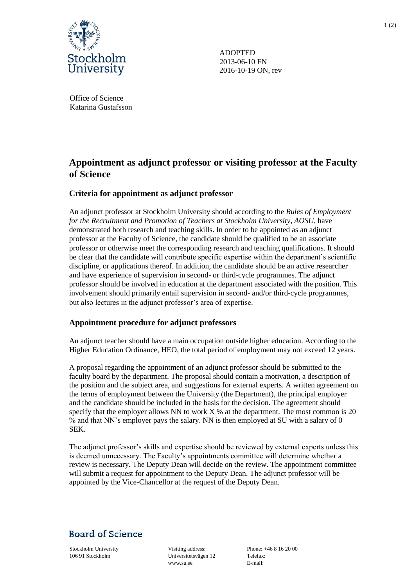

ADOPTED 2013-06-10 FN 2016-10-19 ON, rev

Office of Science Katarina Gustafsson

# **Appointment as adjunct professor or visiting professor at the Faculty of Science**

## **Criteria for appointment as adjunct professor**

An adjunct professor at Stockholm University should according to the *Rules of Employment for the Recruitment and Promotion of Teachers at Stockholm University, AOSU*, have demonstrated both research and teaching skills. In order to be appointed as an adjunct professor at the Faculty of Science, the candidate should be qualified to be an associate professor or otherwise meet the corresponding research and teaching qualifications. It should be clear that the candidate will contribute specific expertise within the department's scientific discipline, or applications thereof. In addition, the candidate should be an active researcher and have experience of supervision in second- or third-cycle programmes. The adjunct professor should be involved in education at the department associated with the position. This involvement should primarily entail supervision in second- and/or third-cycle programmes, but also lectures in the adjunct professor's area of expertise.

#### **Appointment procedure for adjunct professors**

An adjunct teacher should have a main occupation outside higher education. According to the Higher Education Ordinance, HEO, the total period of employment may not exceed 12 years.

A proposal regarding the appointment of an adjunct professor should be submitted to the faculty board by the department. The proposal should contain a motivation, a description of the position and the subject area, and suggestions for external experts. A written agreement on the terms of employment between the University (the Department), the principal employer and the candidate should be included in the basis for the decision. The agreement should specify that the employer allows NN to work  $X$  % at the department. The most common is 20 % and that NN's employer pays the salary. NN is then employed at SU with a salary of 0 SEK.

The adjunct professor's skills and expertise should be reviewed by external experts unless this is deemed unnecessary. The Faculty's appointments committee will determine whether a review is necessary. The Deputy Dean will decide on the review. The appointment committee will submit a request for appointment to the Deputy Dean. The adjunct professor will be appointed by the Vice-Chancellor at the request of the Deputy Dean.

# **Board of Science**

Stockholm University Visiting address: Phone: +46 8 16 20 00 106 91 Stockholm Universitetsvägen 12 Telefax:

www.su.se E-mail: